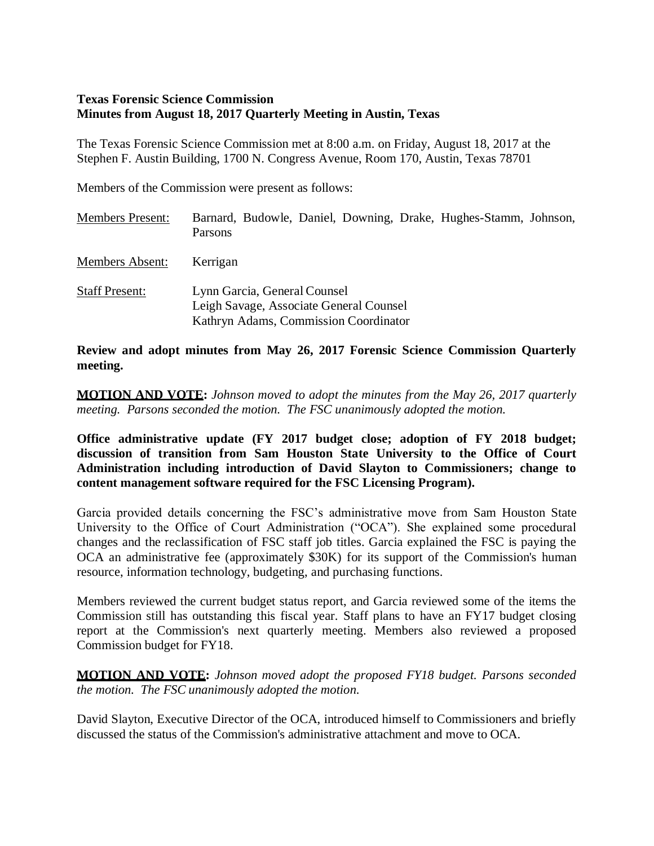#### **Texas Forensic Science Commission Minutes from August 18, 2017 Quarterly Meeting in Austin, Texas**

The Texas Forensic Science Commission met at 8:00 a.m. on Friday, August 18, 2017 at the Stephen F. Austin Building, 1700 N. Congress Avenue, Room 170, Austin, Texas 78701

Members of the Commission were present as follows:

| <b>Members Present:</b> | Barnard, Budowle, Daniel, Downing, Drake, Hughes-Stamm, Johnson,<br>Parsons                                      |
|-------------------------|------------------------------------------------------------------------------------------------------------------|
| Members Absent:         | Kerrigan                                                                                                         |
| <b>Staff Present:</b>   | Lynn Garcia, General Counsel<br>Leigh Savage, Associate General Counsel<br>Kathryn Adams, Commission Coordinator |

**Review and adopt minutes from May 26, 2017 Forensic Science Commission Quarterly meeting.**

**MOTION AND VOTE:** *Johnson moved to adopt the minutes from the May 26, 2017 quarterly meeting. Parsons seconded the motion. The FSC unanimously adopted the motion.*

**Office administrative update (FY 2017 budget close; adoption of FY 2018 budget; discussion of transition from Sam Houston State University to the Office of Court Administration including introduction of David Slayton to Commissioners; change to content management software required for the FSC Licensing Program).**

Garcia provided details concerning the FSC's administrative move from Sam Houston State University to the Office of Court Administration ("OCA"). She explained some procedural changes and the reclassification of FSC staff job titles. Garcia explained the FSC is paying the OCA an administrative fee (approximately \$30K) for its support of the Commission's human resource, information technology, budgeting, and purchasing functions.

Members reviewed the current budget status report, and Garcia reviewed some of the items the Commission still has outstanding this fiscal year. Staff plans to have an FY17 budget closing report at the Commission's next quarterly meeting. Members also reviewed a proposed Commission budget for FY18.

**MOTION AND VOTE:** *Johnson moved adopt the proposed FY18 budget. Parsons seconded the motion. The FSC unanimously adopted the motion.*

David Slayton, Executive Director of the OCA, introduced himself to Commissioners and briefly discussed the status of the Commission's administrative attachment and move to OCA.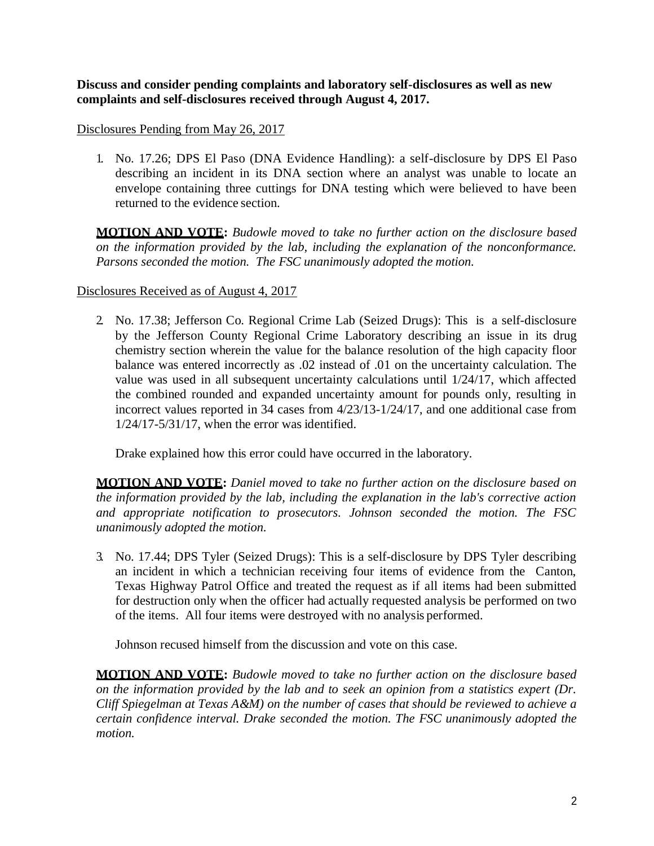**Discuss and consider pending complaints and laboratory self-disclosures as well as new complaints and self-disclosures received through August 4, 2017.**

Disclosures Pending from May 26, 2017

1. No. 17.26; DPS El Paso (DNA Evidence Handling): a self-disclosure by DPS El Paso describing an incident in its DNA section where an analyst was unable to locate an envelope containing three cuttings for DNA testing which were believed to have been returned to the evidence section.

**MOTION AND VOTE:** *Budowle moved to take no further action on the disclosure based on the information provided by the lab, including the explanation of the nonconformance. Parsons seconded the motion. The FSC unanimously adopted the motion.*

Disclosures Received as of August 4, 2017

2. No. 17.38; Jefferson Co. Regional Crime Lab (Seized Drugs): This is a self-disclosure by the Jefferson County Regional Crime Laboratory describing an issue in its drug chemistry section wherein the value for the balance resolution of the high capacity floor balance was entered incorrectly as .02 instead of .01 on the uncertainty calculation. The value was used in all subsequent uncertainty calculations until 1/24/17, which affected the combined rounded and expanded uncertainty amount for pounds only, resulting in incorrect values reported in 34 cases from 4/23/13-1/24/17, and one additional case from  $1/24/17-5/31/17$ , when the error was identified.

Drake explained how this error could have occurred in the laboratory.

**MOTION AND VOTE:** *Daniel moved to take no further action on the disclosure based on the information provided by the lab, including the explanation in the lab's corrective action and appropriate notification to prosecutors. Johnson seconded the motion. The FSC unanimously adopted the motion.*

3. No. 17.44; DPS Tyler (Seized Drugs): This is a self-disclosure by DPS Tyler describing an incident in which a technician receiving four items of evidence from the Canton, Texas Highway Patrol Office and treated the request as if all items had been submitted for destruction only when the officer had actually requested analysis be performed on two of the items. All four items were destroyed with no analysis performed.

Johnson recused himself from the discussion and vote on this case.

**MOTION AND VOTE:** *Budowle moved to take no further action on the disclosure based on the information provided by the lab and to seek an opinion from a statistics expert (Dr. Cliff Spiegelman at Texas A&M) on the number of cases that should be reviewed to achieve a certain confidence interval. Drake seconded the motion. The FSC unanimously adopted the motion.*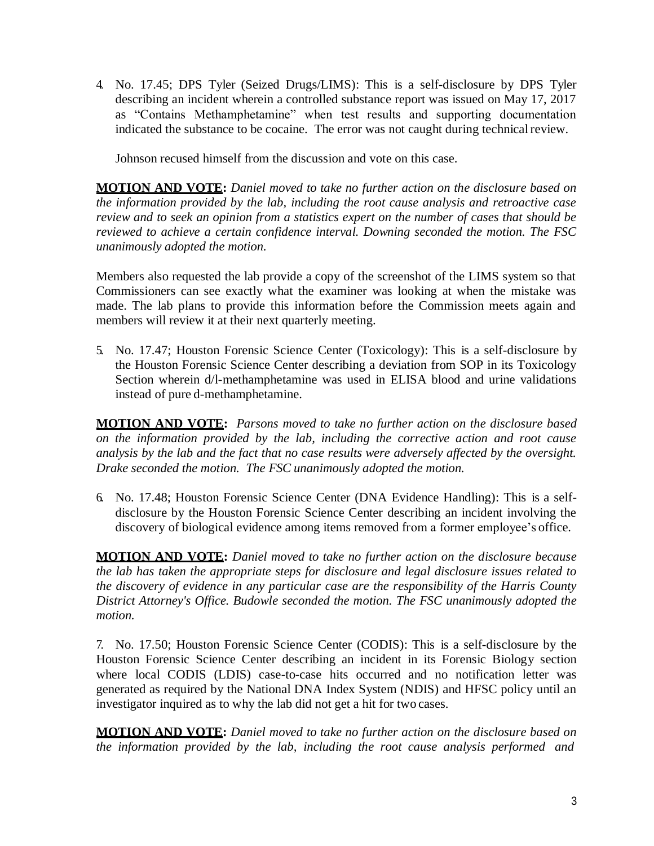4. No. 17.45; DPS Tyler (Seized Drugs/LIMS): This is a self-disclosure by DPS Tyler describing an incident wherein a controlled substance report was issued on May 17, 2017 as "Contains Methamphetamine" when test results and supporting documentation indicated the substance to be cocaine. The error was not caught during technical review.

Johnson recused himself from the discussion and vote on this case.

**MOTION AND VOTE:** *Daniel moved to take no further action on the disclosure based on the information provided by the lab, including the root cause analysis and retroactive case review and to seek an opinion from a statistics expert on the number of cases that should be reviewed to achieve a certain confidence interval. Downing seconded the motion. The FSC unanimously adopted the motion.*

Members also requested the lab provide a copy of the screenshot of the LIMS system so that Commissioners can see exactly what the examiner was looking at when the mistake was made. The lab plans to provide this information before the Commission meets again and members will review it at their next quarterly meeting.

5. No. 17.47; Houston Forensic Science Center (Toxicology): This is a self-disclosure by the Houston Forensic Science Center describing a deviation from SOP in its Toxicology Section wherein d/l-methamphetamine was used in ELISA blood and urine validations instead of pure d-methamphetamine.

**MOTION AND VOTE:** *Parsons moved to take no further action on the disclosure based on the information provided by the lab, including the corrective action and root cause analysis by the lab and the fact that no case results were adversely affected by the oversight. Drake seconded the motion. The FSC unanimously adopted the motion.*

6. No. 17.48; Houston Forensic Science Center (DNA Evidence Handling): This is a selfdisclosure by the Houston Forensic Science Center describing an incident involving the discovery of biological evidence among items removed from a former employee's office.

**MOTION AND VOTE:** *Daniel moved to take no further action on the disclosure because the lab has taken the appropriate steps for disclosure and legal disclosure issues related to the discovery of evidence in any particular case are the responsibility of the Harris County District Attorney's Office. Budowle seconded the motion. The FSC unanimously adopted the motion.*

7. No. 17.50; Houston Forensic Science Center (CODIS): This is a self-disclosure by the Houston Forensic Science Center describing an incident in its Forensic Biology section where local CODIS (LDIS) case-to-case hits occurred and no notification letter was generated as required by the National DNA Index System (NDIS) and HFSC policy until an investigator inquired as to why the lab did not get a hit for two cases.

**MOTION AND VOTE:** *Daniel moved to take no further action on the disclosure based on the information provided by the lab, including the root cause analysis performed and*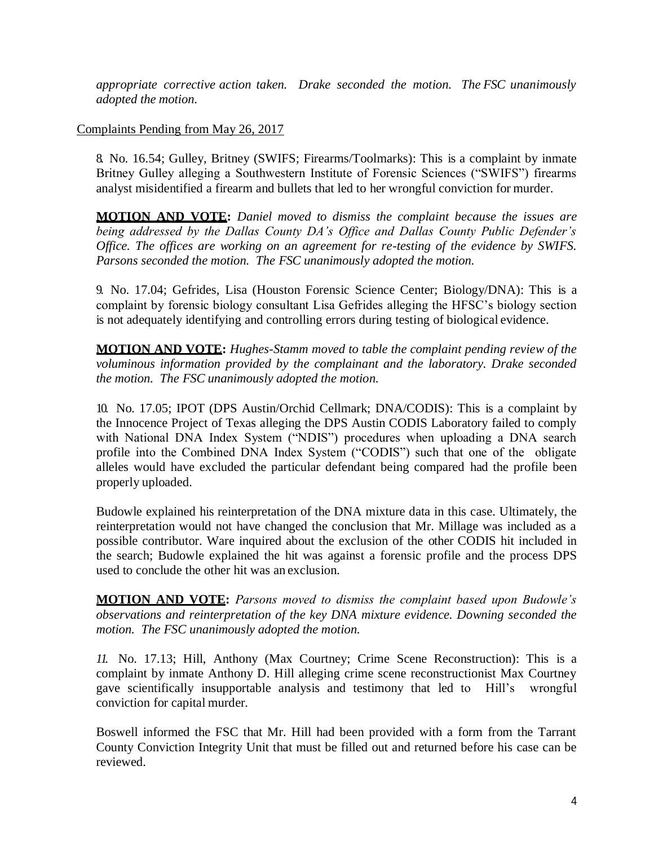*appropriate corrective action taken. Drake seconded the motion. The FSC unanimously adopted the motion.*

Complaints Pending from May 26, 2017

8. No. 16.54; Gulley, Britney (SWIFS; Firearms/Toolmarks): This is a complaint by inmate Britney Gulley alleging a Southwestern Institute of Forensic Sciences ("SWIFS") firearms analyst misidentified a firearm and bullets that led to her wrongful conviction for murder.

**MOTION AND VOTE:** *Daniel moved to dismiss the complaint because the issues are being addressed by the Dallas County DA's Office and Dallas County Public Defender's Office. The offices are working on an agreement for re-testing of the evidence by SWIFS. Parsons seconded the motion. The FSC unanimously adopted the motion.*

9. No. 17.04; Gefrides, Lisa (Houston Forensic Science Center; Biology/DNA): This is a complaint by forensic biology consultant Lisa Gefrides alleging the HFSC's biology section is not adequately identifying and controlling errors during testing of biological evidence.

**MOTION AND VOTE:** *Hughes-Stamm moved to table the complaint pending review of the voluminous information provided by the complainant and the laboratory. Drake seconded the motion. The FSC unanimously adopted the motion.*

10. No. 17.05; IPOT (DPS Austin/Orchid Cellmark; DNA/CODIS): This is a complaint by the Innocence Project of Texas alleging the DPS Austin CODIS Laboratory failed to comply with National DNA Index System ("NDIS") procedures when uploading a DNA search profile into the Combined DNA Index System ("CODIS") such that one of the obligate alleles would have excluded the particular defendant being compared had the profile been properly uploaded.

Budowle explained his reinterpretation of the DNA mixture data in this case. Ultimately, the reinterpretation would not have changed the conclusion that Mr. Millage was included as a possible contributor. Ware inquired about the exclusion of the other CODIS hit included in the search; Budowle explained the hit was against a forensic profile and the process DPS used to conclude the other hit was an exclusion.

**MOTION AND VOTE:** *Parsons moved to dismiss the complaint based upon Budowle's observations and reinterpretation of the key DNA mixture evidence. Downing seconded the motion. The FSC unanimously adopted the motion.*

*11.* No. 17.13; Hill, Anthony (Max Courtney; Crime Scene Reconstruction): This is a complaint by inmate Anthony D. Hill alleging crime scene reconstructionist Max Courtney gave scientifically insupportable analysis and testimony that led to Hill's wrongful conviction for capital murder*.*

Boswell informed the FSC that Mr. Hill had been provided with a form from the Tarrant County Conviction Integrity Unit that must be filled out and returned before his case can be reviewed.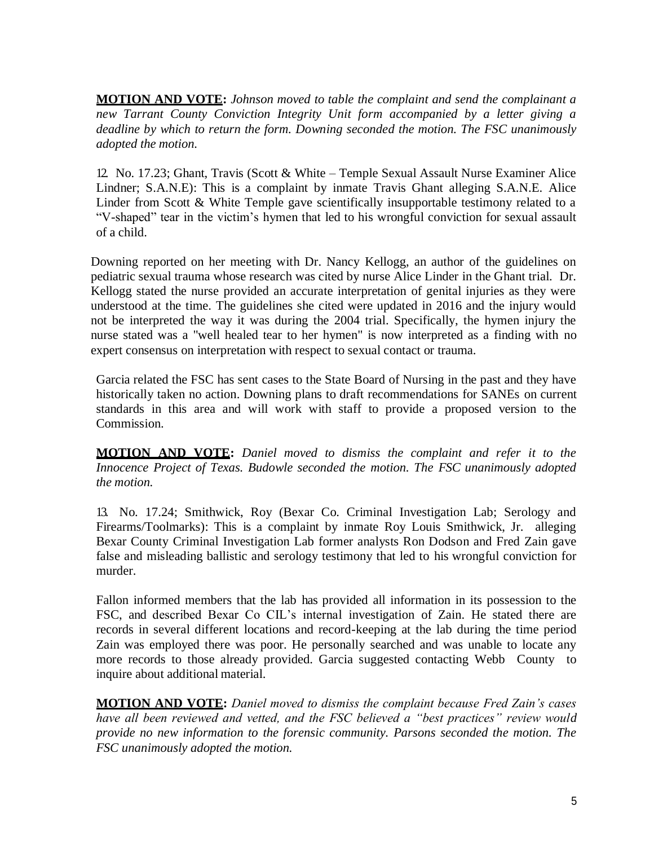**MOTION AND VOTE:** *Johnson moved to table the complaint and send the complainant a new Tarrant County Conviction Integrity Unit form accompanied by a letter giving a deadline by which to return the form. Downing seconded the motion. The FSC unanimously adopted the motion.*

12. No. 17.23; Ghant, Travis (Scott & White – Temple Sexual Assault Nurse Examiner Alice Lindner; S.A.N.E): This is a complaint by inmate Travis Ghant alleging S.A.N.E. Alice Linder from Scott & White Temple gave scientifically insupportable testimony related to a "V-shaped" tear in the victim's hymen that led to his wrongful conviction for sexual assault of a child.

Downing reported on her meeting with Dr. Nancy Kellogg, an author of the guidelines on pediatric sexual trauma whose research was cited by nurse Alice Linder in the Ghant trial. Dr. Kellogg stated the nurse provided an accurate interpretation of genital injuries as they were understood at the time. The guidelines she cited were updated in 2016 and the injury would not be interpreted the way it was during the 2004 trial. Specifically, the hymen injury the nurse stated was a "well healed tear to her hymen" is now interpreted as a finding with no expert consensus on interpretation with respect to sexual contact or trauma.

Garcia related the FSC has sent cases to the State Board of Nursing in the past and they have historically taken no action. Downing plans to draft recommendations for SANEs on current standards in this area and will work with staff to provide a proposed version to the Commission.

**MOTION AND VOTE:** *Daniel moved to dismiss the complaint and refer it to the Innocence Project of Texas. Budowle seconded the motion. The FSC unanimously adopted the motion.*

13. No. 17.24; Smithwick, Roy (Bexar Co. Criminal Investigation Lab; Serology and Firearms/Toolmarks): This is a complaint by inmate Roy Louis Smithwick, Jr. alleging Bexar County Criminal Investigation Lab former analysts Ron Dodson and Fred Zain gave false and misleading ballistic and serology testimony that led to his wrongful conviction for murder.

Fallon informed members that the lab has provided all information in its possession to the FSC, and described Bexar Co CIL's internal investigation of Zain. He stated there are records in several different locations and record-keeping at the lab during the time period Zain was employed there was poor. He personally searched and was unable to locate any more records to those already provided. Garcia suggested contacting Webb County to inquire about additional material.

**MOTION AND VOTE:** *Daniel moved to dismiss the complaint because Fred Zain's cases have all been reviewed and vetted, and the FSC believed a "best practices" review would provide no new information to the forensic community. Parsons seconded the motion. The FSC unanimously adopted the motion.*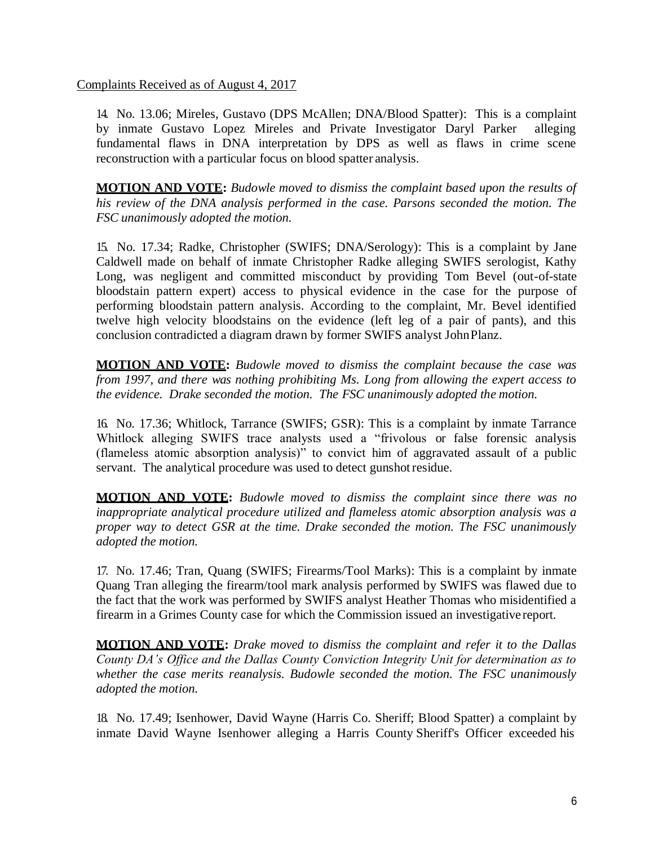Complaints Received as of August 4, 2017

14. No. 13.06; Mireles, Gustavo (DPS McAllen; DNA/Blood Spatter): This is a complaint by inmate Gustavo Lopez Mireles and Private Investigator Daryl Parker alleging fundamental flaws in DNA interpretation by DPS as well as flaws in crime scene reconstruction with a particular focus on blood spatter analysis.

**MOTION AND VOTE:** *Budowle moved to dismiss the complaint based upon the results of his review of the DNA analysis performed in the case. Parsons seconded the motion. The FSC unanimously adopted the motion.*

15. No. 17.34; Radke, Christopher (SWIFS; DNA/Serology): This is a complaint by Jane Caldwell made on behalf of inmate Christopher Radke alleging SWIFS serologist, Kathy Long, was negligent and committed misconduct by providing Tom Bevel (out-of-state bloodstain pattern expert) access to physical evidence in the case for the purpose of performing bloodstain pattern analysis. According to the complaint, Mr. Bevel identified twelve high velocity bloodstains on the evidence (left leg of a pair of pants), and this conclusion contradicted a diagram drawn by former SWIFS analyst JohnPlanz.

**MOTION AND VOTE:** *Budowle moved to dismiss the complaint because the case was from 1997, and there was nothing prohibiting Ms. Long from allowing the expert access to the evidence. Drake seconded the motion. The FSC unanimously adopted the motion.*

16. No. 17.36; Whitlock, Tarrance (SWIFS; GSR): This is a complaint by inmate Tarrance Whitlock alleging SWIFS trace analysts used a "frivolous or false forensic analysis (flameless atomic absorption analysis)" to convict him of aggravated assault of a public servant. The analytical procedure was used to detect gunshot residue.

**MOTION AND VOTE:** *Budowle moved to dismiss the complaint since there was no inappropriate analytical procedure utilized and flameless atomic absorption analysis was a proper way to detect GSR at the time. Drake seconded the motion. The FSC unanimously adopted the motion.*

17. No. 17.46; Tran, Quang (SWIFS; Firearms/Tool Marks): This is a complaint by inmate Quang Tran alleging the firearm/tool mark analysis performed by SWIFS was flawed due to the fact that the work was performed by SWIFS analyst Heather Thomas who misidentified a firearm in a Grimes County case for which the Commission issued an investigative report.

**MOTION AND VOTE:** *Drake moved to dismiss the complaint and refer it to the Dallas County DA's Office and the Dallas County Conviction Integrity Unit for determination as to whether the case merits reanalysis. Budowle seconded the motion. The FSC unanimously adopted the motion.*

18. No. 17.49; Isenhower, David Wayne (Harris Co. Sheriff; Blood Spatter) a complaint by inmate David Wayne Isenhower alleging a Harris County Sheriff's Officer exceeded his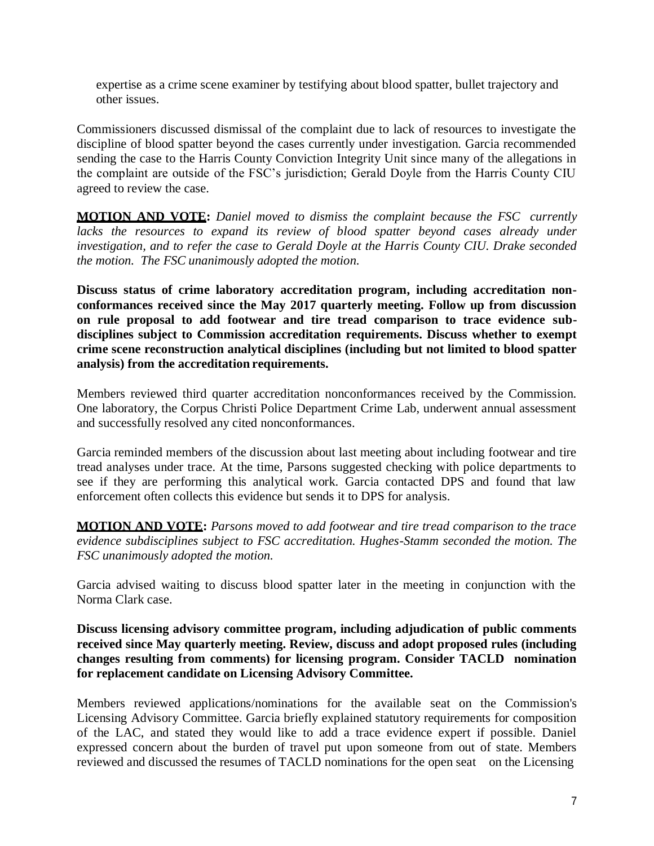expertise as a crime scene examiner by testifying about blood spatter, bullet trajectory and other issues.

Commissioners discussed dismissal of the complaint due to lack of resources to investigate the discipline of blood spatter beyond the cases currently under investigation. Garcia recommended sending the case to the Harris County Conviction Integrity Unit since many of the allegations in the complaint are outside of the FSC's jurisdiction; Gerald Doyle from the Harris County CIU agreed to review the case.

**MOTION AND VOTE:** *Daniel moved to dismiss the complaint because the FSC currently lacks the resources to expand its review of blood spatter beyond cases already under investigation, and to refer the case to Gerald Doyle at the Harris County CIU. Drake seconded the motion. The FSC unanimously adopted the motion.*

**Discuss status of crime laboratory accreditation program, including accreditation nonconformances received since the May 2017 quarterly meeting. Follow up from discussion on rule proposal to add footwear and tire tread comparison to trace evidence subdisciplines subject to Commission accreditation requirements. Discuss whether to exempt crime scene reconstruction analytical disciplines (including but not limited to blood spatter analysis) from the accreditation requirements.**

Members reviewed third quarter accreditation nonconformances received by the Commission. One laboratory, the Corpus Christi Police Department Crime Lab, underwent annual assessment and successfully resolved any cited nonconformances.

Garcia reminded members of the discussion about last meeting about including footwear and tire tread analyses under trace. At the time, Parsons suggested checking with police departments to see if they are performing this analytical work. Garcia contacted DPS and found that law enforcement often collects this evidence but sends it to DPS for analysis.

**MOTION AND VOTE:** *Parsons moved to add footwear and tire tread comparison to the trace evidence subdisciplines subject to FSC accreditation. Hughes-Stamm seconded the motion. The FSC unanimously adopted the motion.*

Garcia advised waiting to discuss blood spatter later in the meeting in conjunction with the Norma Clark case.

**Discuss licensing advisory committee program, including adjudication of public comments received since May quarterly meeting. Review, discuss and adopt proposed rules (including changes resulting from comments) for licensing program. Consider TACLD nomination for replacement candidate on Licensing Advisory Committee.**

Members reviewed applications/nominations for the available seat on the Commission's Licensing Advisory Committee. Garcia briefly explained statutory requirements for composition of the LAC, and stated they would like to add a trace evidence expert if possible. Daniel expressed concern about the burden of travel put upon someone from out of state. Members reviewed and discussed the resumes of TACLD nominations for the open seat on the Licensing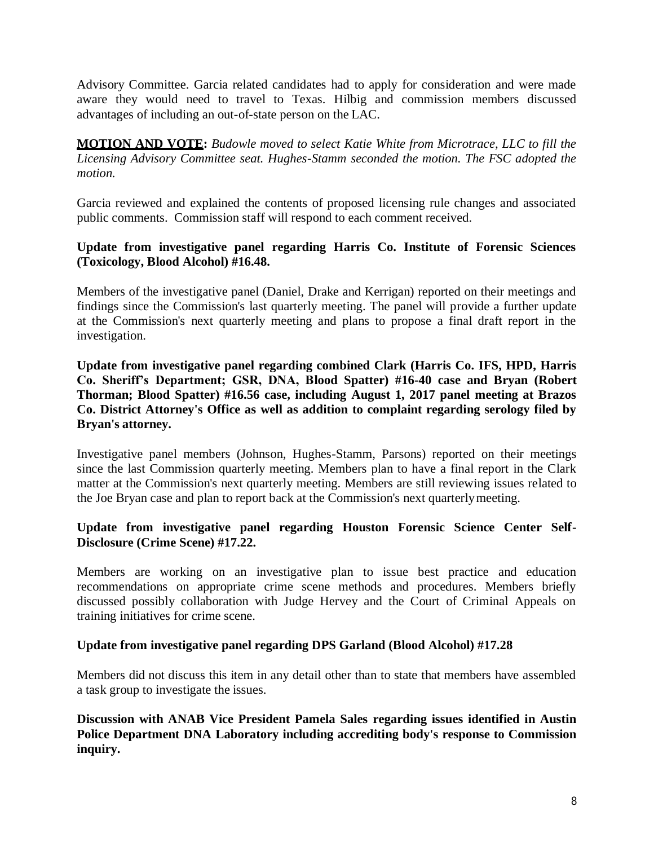Advisory Committee. Garcia related candidates had to apply for consideration and were made aware they would need to travel to Texas. Hilbig and commission members discussed advantages of including an out-of-state person on the LAC.

**MOTION AND VOTE:** *Budowle moved to select Katie White from Microtrace, LLC to fill the Licensing Advisory Committee seat. Hughes-Stamm seconded the motion. The FSC adopted the motion.*

Garcia reviewed and explained the contents of proposed licensing rule changes and associated public comments. Commission staff will respond to each comment received.

# **Update from investigative panel regarding Harris Co. Institute of Forensic Sciences (Toxicology, Blood Alcohol) #16.48.**

Members of the investigative panel (Daniel, Drake and Kerrigan) reported on their meetings and findings since the Commission's last quarterly meeting. The panel will provide a further update at the Commission's next quarterly meeting and plans to propose a final draft report in the investigation.

**Update from investigative panel regarding combined Clark (Harris Co. IFS, HPD, Harris Co. Sheriff's Department; GSR, DNA, Blood Spatter) #16-40 case and Bryan (Robert Thorman; Blood Spatter) #16.56 case, including August 1, 2017 panel meeting at Brazos Co. District Attorney's Office as well as addition to complaint regarding serology filed by Bryan's attorney.**

Investigative panel members (Johnson, Hughes-Stamm, Parsons) reported on their meetings since the last Commission quarterly meeting. Members plan to have a final report in the Clark matter at the Commission's next quarterly meeting. Members are still reviewing issues related to the Joe Bryan case and plan to report back at the Commission's next quarterlymeeting.

# **Update from investigative panel regarding Houston Forensic Science Center Self-Disclosure (Crime Scene) #17.22.**

Members are working on an investigative plan to issue best practice and education recommendations on appropriate crime scene methods and procedures. Members briefly discussed possibly collaboration with Judge Hervey and the Court of Criminal Appeals on training initiatives for crime scene.

# **Update from investigative panel regarding DPS Garland (Blood Alcohol) #17.28**

Members did not discuss this item in any detail other than to state that members have assembled a task group to investigate the issues.

**Discussion with ANAB Vice President Pamela Sales regarding issues identified in Austin Police Department DNA Laboratory including accrediting body's response to Commission inquiry.**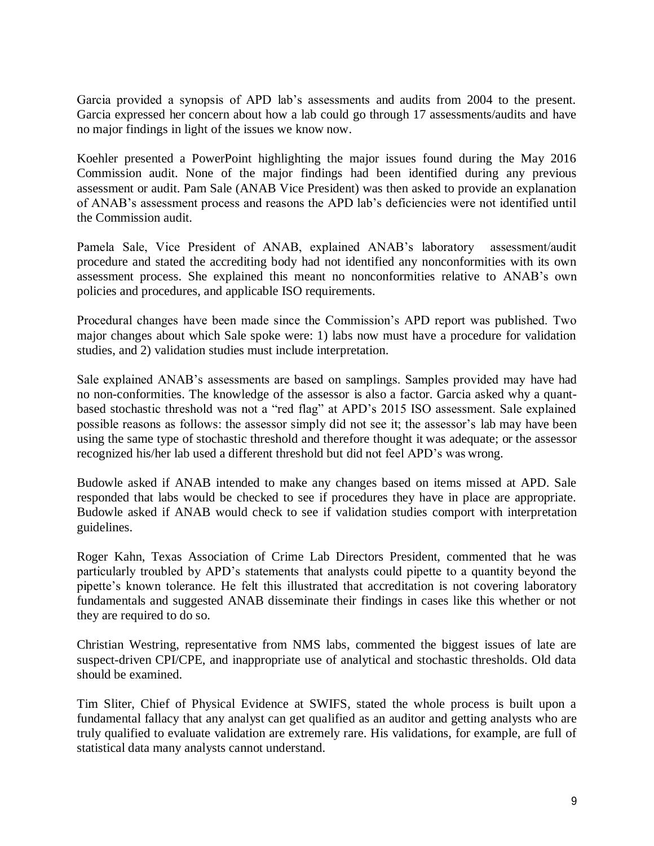Garcia provided a synopsis of APD lab's assessments and audits from 2004 to the present. Garcia expressed her concern about how a lab could go through 17 assessments/audits and have no major findings in light of the issues we know now.

Koehler presented a PowerPoint highlighting the major issues found during the May 2016 Commission audit. None of the major findings had been identified during any previous assessment or audit. Pam Sale (ANAB Vice President) was then asked to provide an explanation of ANAB's assessment process and reasons the APD lab's deficiencies were not identified until the Commission audit.

Pamela Sale, Vice President of ANAB, explained ANAB's laboratory assessment/audit procedure and stated the accrediting body had not identified any nonconformities with its own assessment process. She explained this meant no nonconformities relative to ANAB's own policies and procedures, and applicable ISO requirements.

Procedural changes have been made since the Commission's APD report was published. Two major changes about which Sale spoke were: 1) labs now must have a procedure for validation studies, and 2) validation studies must include interpretation.

Sale explained ANAB's assessments are based on samplings. Samples provided may have had no non-conformities. The knowledge of the assessor is also a factor. Garcia asked why a quantbased stochastic threshold was not a "red flag" at APD's 2015 ISO assessment. Sale explained possible reasons as follows: the assessor simply did not see it; the assessor's lab may have been using the same type of stochastic threshold and therefore thought it was adequate; or the assessor recognized his/her lab used a different threshold but did not feel APD's was wrong.

Budowle asked if ANAB intended to make any changes based on items missed at APD. Sale responded that labs would be checked to see if procedures they have in place are appropriate. Budowle asked if ANAB would check to see if validation studies comport with interpretation guidelines.

Roger Kahn, Texas Association of Crime Lab Directors President, commented that he was particularly troubled by APD's statements that analysts could pipette to a quantity beyond the pipette's known tolerance. He felt this illustrated that accreditation is not covering laboratory fundamentals and suggested ANAB disseminate their findings in cases like this whether or not they are required to do so.

Christian Westring, representative from NMS labs, commented the biggest issues of late are suspect-driven CPI/CPE, and inappropriate use of analytical and stochastic thresholds. Old data should be examined.

Tim Sliter, Chief of Physical Evidence at SWIFS, stated the whole process is built upon a fundamental fallacy that any analyst can get qualified as an auditor and getting analysts who are truly qualified to evaluate validation are extremely rare. His validations, for example, are full of statistical data many analysts cannot understand.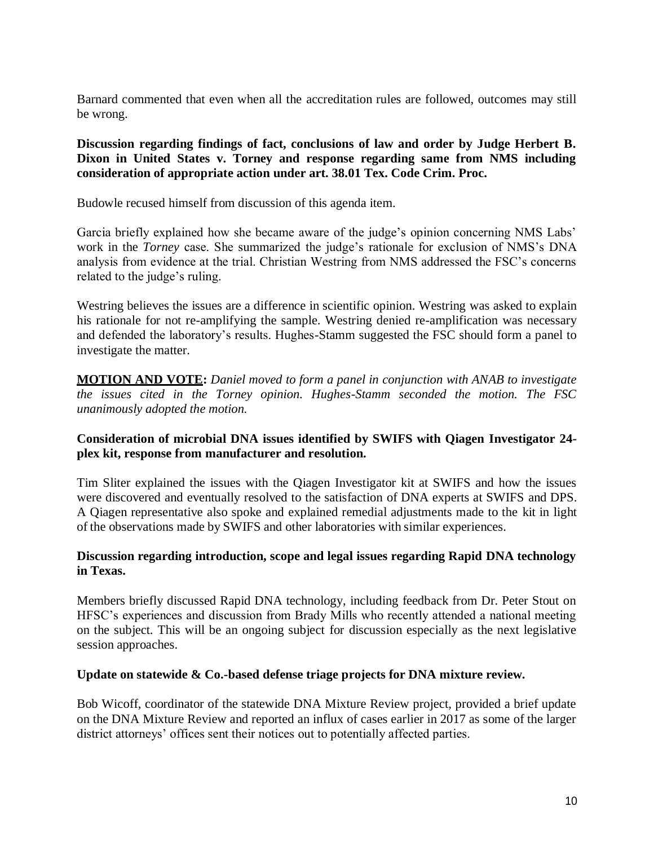Barnard commented that even when all the accreditation rules are followed, outcomes may still be wrong.

**Discussion regarding findings of fact, conclusions of law and order by Judge Herbert B. Dixon in United States v. Torney and response regarding same from NMS including consideration of appropriate action under art. 38.01 Tex. Code Crim. Proc.**

Budowle recused himself from discussion of this agenda item.

Garcia briefly explained how she became aware of the judge's opinion concerning NMS Labs' work in the *Torney* case. She summarized the judge's rationale for exclusion of NMS's DNA analysis from evidence at the trial. Christian Westring from NMS addressed the FSC's concerns related to the judge's ruling.

Westring believes the issues are a difference in scientific opinion. Westring was asked to explain his rationale for not re-amplifying the sample. Westring denied re-amplification was necessary and defended the laboratory's results. Hughes-Stamm suggested the FSC should form a panel to investigate the matter.

**MOTION AND VOTE:** *Daniel moved to form a panel in conjunction with ANAB to investigate the issues cited in the Torney opinion. Hughes-Stamm seconded the motion. The FSC unanimously adopted the motion.*

#### **Consideration of microbial DNA issues identified by SWIFS with Qiagen Investigator 24 plex kit, response from manufacturer and resolution.**

Tim Sliter explained the issues with the Qiagen Investigator kit at SWIFS and how the issues were discovered and eventually resolved to the satisfaction of DNA experts at SWIFS and DPS. A Qiagen representative also spoke and explained remedial adjustments made to the kit in light of the observations made by SWIFS and other laboratories with similar experiences.

#### **Discussion regarding introduction, scope and legal issues regarding Rapid DNA technology in Texas.**

Members briefly discussed Rapid DNA technology, including feedback from Dr. Peter Stout on HFSC's experiences and discussion from Brady Mills who recently attended a national meeting on the subject. This will be an ongoing subject for discussion especially as the next legislative session approaches.

#### **Update on statewide & Co.-based defense triage projects for DNA mixture review.**

Bob Wicoff, coordinator of the statewide DNA Mixture Review project, provided a brief update on the DNA Mixture Review and reported an influx of cases earlier in 2017 as some of the larger district attorneys' offices sent their notices out to potentially affected parties.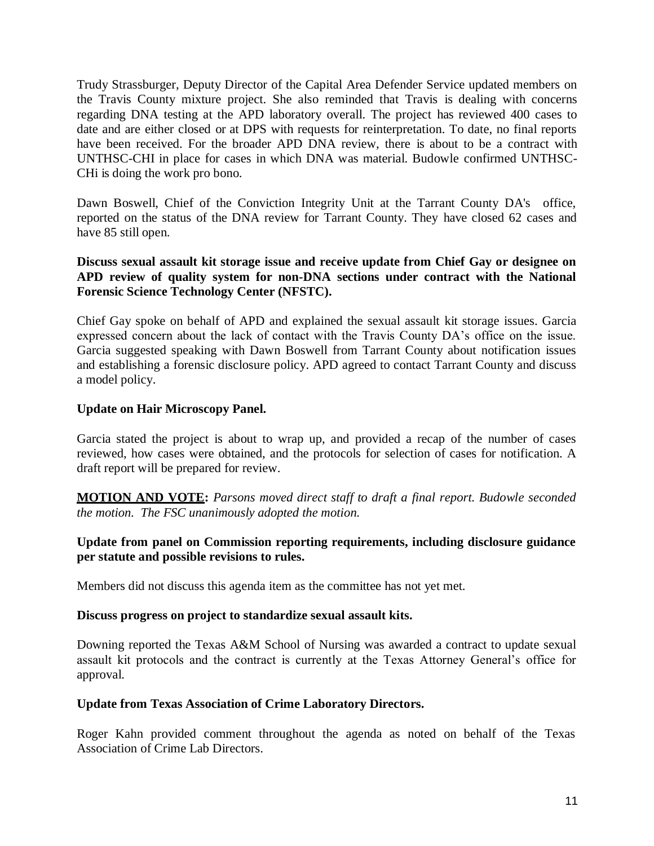Trudy Strassburger, Deputy Director of the Capital Area Defender Service updated members on the Travis County mixture project. She also reminded that Travis is dealing with concerns regarding DNA testing at the APD laboratory overall. The project has reviewed 400 cases to date and are either closed or at DPS with requests for reinterpretation. To date, no final reports have been received. For the broader APD DNA review, there is about to be a contract with UNTHSC-CHI in place for cases in which DNA was material. Budowle confirmed UNTHSC-CHi is doing the work pro bono.

Dawn Boswell, Chief of the Conviction Integrity Unit at the Tarrant County DA's office, reported on the status of the DNA review for Tarrant County. They have closed 62 cases and have 85 still open.

#### **Discuss sexual assault kit storage issue and receive update from Chief Gay or designee on APD review of quality system for non-DNA sections under contract with the National Forensic Science Technology Center (NFSTC).**

Chief Gay spoke on behalf of APD and explained the sexual assault kit storage issues. Garcia expressed concern about the lack of contact with the Travis County DA's office on the issue. Garcia suggested speaking with Dawn Boswell from Tarrant County about notification issues and establishing a forensic disclosure policy. APD agreed to contact Tarrant County and discuss a model policy.

# **Update on Hair Microscopy Panel.**

Garcia stated the project is about to wrap up, and provided a recap of the number of cases reviewed, how cases were obtained, and the protocols for selection of cases for notification. A draft report will be prepared for review.

**MOTION AND VOTE:** *Parsons moved direct staff to draft a final report. Budowle seconded the motion. The FSC unanimously adopted the motion.*

#### **Update from panel on Commission reporting requirements, including disclosure guidance per statute and possible revisions to rules.**

Members did not discuss this agenda item as the committee has not yet met.

#### **Discuss progress on project to standardize sexual assault kits.**

Downing reported the Texas A&M School of Nursing was awarded a contract to update sexual assault kit protocols and the contract is currently at the Texas Attorney General's office for approval.

#### **Update from Texas Association of Crime Laboratory Directors.**

Roger Kahn provided comment throughout the agenda as noted on behalf of the Texas Association of Crime Lab Directors.